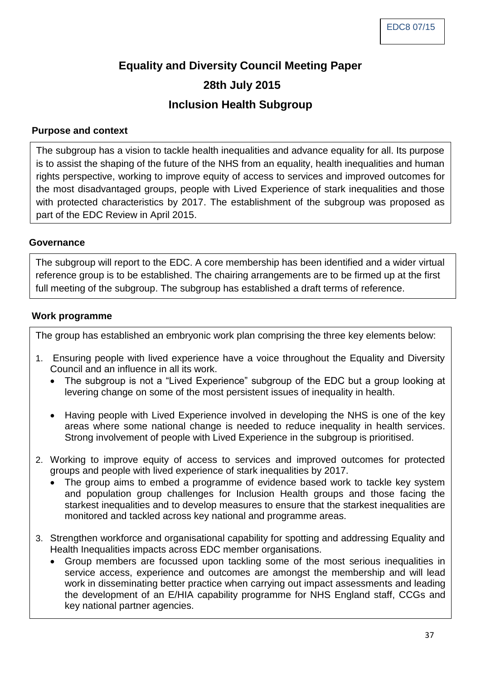# **Equality and Diversity Council Meeting Paper 28th July 2015 Inclusion Health Subgroup**

### **Purpose and context**

The subgroup has a vision to tackle health inequalities and advance equality for all. Its purpose is to assist the shaping of the future of the NHS from an equality, health inequalities and human rights perspective, working to improve equity of access to services and improved outcomes for the most disadvantaged groups, people with Lived Experience of stark inequalities and those with protected characteristics by 2017. The establishment of the subgroup was proposed as part of the EDC Review in April 2015.

#### **Governance**

The subgroup will report to the EDC. A core membership has been identified and a wider virtual reference group is to be established. The chairing arrangements are to be firmed up at the first full meeting of the subgroup. The subgroup has established a draft terms of reference.

#### **Work programme**

The group has established an embryonic work plan comprising the three key elements below:

- 1. Ensuring people with lived experience have a voice throughout the Equality and Diversity Council and an influence in all its work.
	- The subgroup is not a "Lived Experience" subgroup of the EDC but a group looking at levering change on some of the most persistent issues of inequality in health.
	- Having people with Lived Experience involved in developing the NHS is one of the key areas where some national change is needed to reduce inequality in health services. Strong involvement of people with Lived Experience in the subgroup is prioritised.
- 2. Working to improve equity of access to services and improved outcomes for protected groups and people with lived experience of stark inequalities by 2017.
	- The group aims to embed a programme of evidence based work to tackle key system and population group challenges for Inclusion Health groups and those facing the starkest inequalities and to develop measures to ensure that the starkest inequalities are monitored and tackled across key national and programme areas.
- 3. Strengthen workforce and organisational capability for spotting and addressing Equality and Health Inequalities impacts across EDC member organisations.
	- Group members are focussed upon tackling some of the most serious inequalities in service access, experience and outcomes are amongst the membership and will lead work in disseminating better practice when carrying out impact assessments and leading the development of an E/HIA capability programme for NHS England staff, CCGs and key national partner agencies.